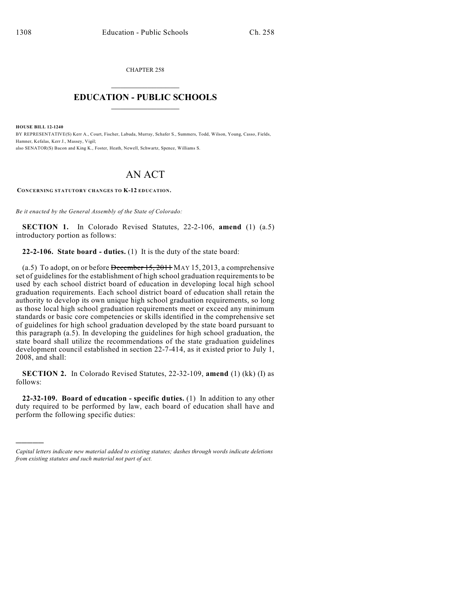CHAPTER 258  $\mathcal{L}_\text{max}$  . The set of the set of the set of the set of the set of the set of the set of the set of the set of the set of the set of the set of the set of the set of the set of the set of the set of the set of the set

## **EDUCATION - PUBLIC SCHOOLS**  $\_$   $\_$   $\_$   $\_$   $\_$   $\_$   $\_$   $\_$   $\_$

**HOUSE BILL 12-1240**

)))))

BY REPRESENTATIVE(S) Kerr A., Court, Fischer, Labuda, Murray, Schafer S., Summers, Todd, Wilson, Young, Casso, Fields, Hamner, Kefalas, Kerr J., Massey, Vigil; also SENATOR(S) Bacon and King K., Foster, Heath, Newell, Schwartz, Spence, Williams S.

## AN ACT

**CONCERNING STATUTORY CHANGES TO K-12 EDUCATION.**

*Be it enacted by the General Assembly of the State of Colorado:*

**SECTION 1.** In Colorado Revised Statutes, 22-2-106, **amend** (1) (a.5) introductory portion as follows:

**22-2-106. State board - duties.** (1) It is the duty of the state board:

(a.5) To adopt, on or before December 15, 2011 MAY 15, 2013, a comprehensive set of guidelines for the establishment of high school graduation requirements to be used by each school district board of education in developing local high school graduation requirements. Each school district board of education shall retain the authority to develop its own unique high school graduation requirements, so long as those local high school graduation requirements meet or exceed any minimum standards or basic core competencies or skills identified in the comprehensive set of guidelines for high school graduation developed by the state board pursuant to this paragraph (a.5). In developing the guidelines for high school graduation, the state board shall utilize the recommendations of the state graduation guidelines development council established in section 22-7-414, as it existed prior to July 1, 2008, and shall:

**SECTION 2.** In Colorado Revised Statutes, 22-32-109, **amend** (1) (kk) (I) as follows:

**22-32-109. Board of education - specific duties.** (1) In addition to any other duty required to be performed by law, each board of education shall have and perform the following specific duties:

*Capital letters indicate new material added to existing statutes; dashes through words indicate deletions from existing statutes and such material not part of act.*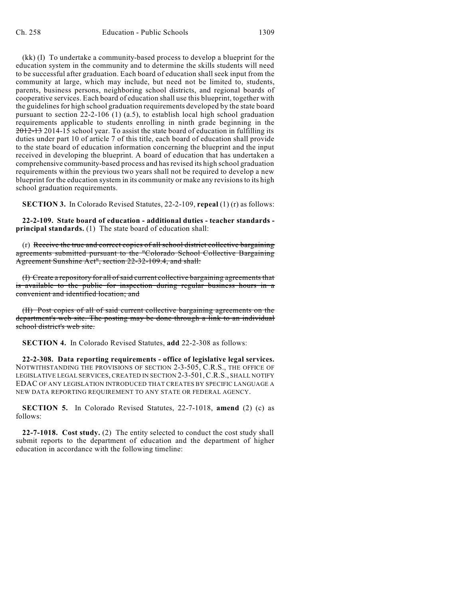(kk) (I) To undertake a community-based process to develop a blueprint for the education system in the community and to determine the skills students will need to be successful after graduation. Each board of education shall seek input from the community at large, which may include, but need not be limited to, students, parents, business persons, neighboring school districts, and regional boards of cooperative services. Each board of education shall use this blueprint, together with the guidelines for high school graduation requirements developed by the state board pursuant to section 22-2-106 (1) (a.5), to establish local high school graduation requirements applicable to students enrolling in ninth grade beginning in the 2012-13 2014-15 school year. To assist the state board of education in fulfilling its duties under part 10 of article 7 of this title, each board of education shall provide to the state board of education information concerning the blueprint and the input received in developing the blueprint. A board of education that has undertaken a comprehensive community-based process and hasrevised its high school graduation requirements within the previous two years shall not be required to develop a new blueprint for the education system in its community or make any revisionsto its high school graduation requirements.

**SECTION 3.** In Colorado Revised Statutes, 22-2-109, **repeal** (1) (r) as follows:

**22-2-109. State board of education - additional duties - teacher standards principal standards.** (1) The state board of education shall:

(r) Receive the true and correct copies of all school district collective bargaining agreements submitted pursuant to the "Colorado School Collective Bargaining Agreement Sunshine Act", section 22-32-109.4, and shall:

(I) Create a repository for all of said current collective bargaining agreements that is available to the public for inspection during regular business hours in a convenient and identified location; and

(II) Post copies of all of said current collective bargaining agreements on the department's web site. The posting may be done through a link to an individual school district's web site.

**SECTION 4.** In Colorado Revised Statutes, **add** 22-2-308 as follows:

**22-2-308. Data reporting requirements - office of legislative legal services.** NOTWITHSTANDING THE PROVISIONS OF SECTION 2-3-505, C.R.S., THE OFFICE OF LEGISLATIVE LEGAL SERVICES, CREATED IN SECTION 2-3-501,C.R.S., SHALL NOTIFY EDAC OF ANY LEGISLATION INTRODUCED THAT CREATES BY SPECIFIC LANGUAGE A NEW DATA REPORTING REQUIREMENT TO ANY STATE OR FEDERAL AGENCY.

**SECTION 5.** In Colorado Revised Statutes, 22-7-1018, **amend** (2) (c) as follows:

**22-7-1018. Cost study.** (2) The entity selected to conduct the cost study shall submit reports to the department of education and the department of higher education in accordance with the following timeline: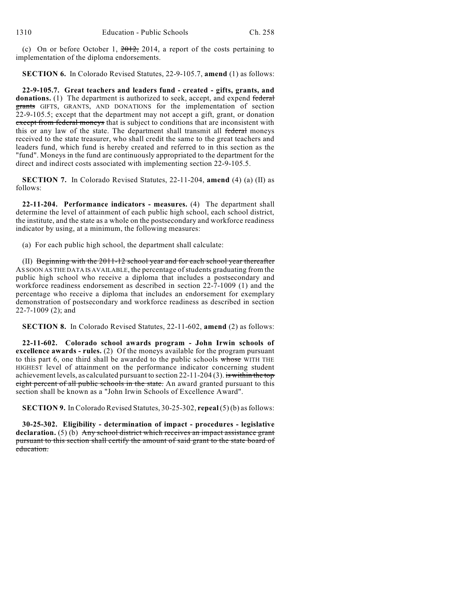(c) On or before October 1,  $2012$ , 2014, a report of the costs pertaining to implementation of the diploma endorsements.

**SECTION 6.** In Colorado Revised Statutes, 22-9-105.7, **amend** (1) as follows:

**22-9-105.7. Great teachers and leaders fund - created - gifts, grants, and** donations. (1) The department is authorized to seek, accept, and expend federal grants GIFTS, GRANTS, AND DONATIONS for the implementation of section 22-9-105.5; except that the department may not accept a gift, grant, or donation except from federal moneys that is subject to conditions that are inconsistent with this or any law of the state. The department shall transmit all federal moneys received to the state treasurer, who shall credit the same to the great teachers and leaders fund, which fund is hereby created and referred to in this section as the "fund". Moneys in the fund are continuously appropriated to the department for the direct and indirect costs associated with implementing section 22-9-105.5.

**SECTION 7.** In Colorado Revised Statutes, 22-11-204, **amend** (4) (a) (II) as follows:

**22-11-204. Performance indicators - measures.** (4) The department shall determine the level of attainment of each public high school, each school district, the institute, and the state as a whole on the postsecondary and workforce readiness indicator by using, at a minimum, the following measures:

(a) For each public high school, the department shall calculate:

(II) Beginning with the 2011-12 school year and for each school year thereafter AS SOON AS THE DATA IS AVAILABLE, the percentage of students graduating from the public high school who receive a diploma that includes a postsecondary and workforce readiness endorsement as described in section 22-7-1009 (1) and the percentage who receive a diploma that includes an endorsement for exemplary demonstration of postsecondary and workforce readiness as described in section 22-7-1009 (2); and

**SECTION 8.** In Colorado Revised Statutes, 22-11-602, **amend** (2) as follows:

**22-11-602. Colorado school awards program - John Irwin schools of excellence awards - rules.** (2) Of the moneys available for the program pursuant to this part 6, one third shall be awarded to the public schools whose WITH THE HIGHEST level of attainment on the performance indicator concerning student achievement levels, as calculated pursuant to section 22-11-204 (3). is within the top eight percent of all public schools in the state. An award granted pursuant to this section shall be known as a "John Irwin Schools of Excellence Award".

**SECTION 9.** In Colorado Revised Statutes, 30-25-302, **repeal** (5) (b) asfollows:

**30-25-302. Eligibility - determination of impact - procedures - legislative declaration.** (5) (b) Any school district which receives an impact assistance grant pursuant to this section shall certify the amount of said grant to the state board of education.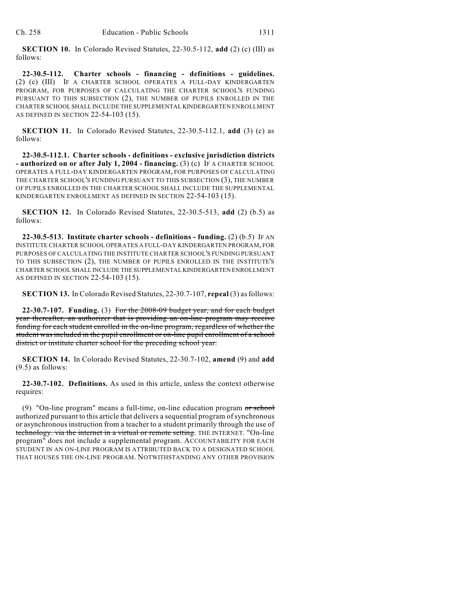**SECTION 10.** In Colorado Revised Statutes, 22-30.5-112, **add** (2) (c) (III) as follows:

**22-30.5-112. Charter schools - financing - definitions - guidelines.** (2) (c) (III) IF A CHARTER SCHOOL OPERATES A FULL-DAY KINDERGARTEN PROGRAM, FOR PURPOSES OF CALCULATING THE CHARTER SCHOOL'S FUNDING PURSUANT TO THIS SUBSECTION (2), THE NUMBER OF PUPILS ENROLLED IN THE CHARTER SCHOOL SHALL INCLUDE THE SUPPLEMENTAL KINDERGARTEN ENROLLMENT AS DEFINED IN SECTION 22-54-103 (15).

**SECTION 11.** In Colorado Revised Statutes, 22-30.5-112.1, **add** (3) (c) as follows:

**22-30.5-112.1. Charter schools - definitions - exclusive jurisdiction districts - authorized on or after July 1, 2004 - financing.** (3) (c) IF A CHARTER SCHOOL OPERATES A FULL-DAY KINDERGARTEN PROGRAM, FOR PURPOSES OF CALCULATING THE CHARTER SCHOOL'S FUNDING PURSUANT TO THIS SUBSECTION (3), THE NUMBER OF PUPILS ENROLLED IN THE CHARTER SCHOOL SHALL INCLUDE THE SUPPLEMENTAL KINDERGARTEN ENROLLMENT AS DEFINED IN SECTION 22-54-103 (15).

**SECTION 12.** In Colorado Revised Statutes, 22-30.5-513, **add** (2) (b.5) as follows:

**22-30.5-513. Institute charter schools - definitions - funding.** (2) (b.5) IF AN INSTITUTE CHARTER SCHOOL OPERATES A FULL-DAY KINDERGARTEN PROGRAM, FOR PURPOSES OF CALCULATING THE INSTITUTE CHARTER SCHOOL'S FUNDING PURSUANT TO THIS SUBSECTION (2), THE NUMBER OF PUPILS ENROLLED IN THE INSTITUTE'S CHARTER SCHOOL SHALL INCLUDE THE SUPPLEMENTAL KINDERGARTEN ENROLLMENT AS DEFINED IN SECTION 22-54-103 (15).

**SECTION 13.** In Colorado Revised Statutes, 22-30.7-107, **repeal** (3) asfollows:

**22-30.7-107. Funding.** (3) For the 2008-09 budget year, and for each budget year thereafter, an authorizer that is providing an on-line program may receive funding for each student enrolled in the on-line program, regardless of whether the student was included in the pupil enrollment or on-line pupil enrollment of a school district or institute charter school for the preceding school year.

**SECTION 14.** In Colorado Revised Statutes, 22-30.7-102, **amend** (9) and **add** (9.5) as follows:

**22-30.7-102. Definitions.** As used in this article, unless the context otherwise requires:

(9) "On-line program" means a full-time, on-line education program or school authorized pursuant to this article that delivers a sequential program of synchronous or asynchronous instruction from a teacher to a student primarily through the use of technology. via the internet in a virtual or remote setting. THE INTERNET. "On-line program" does not include a supplemental program. ACCOUNTABILITY FOR EACH STUDENT IN AN ON-LINE PROGRAM IS ATTRIBUTED BACK TO A DESIGNATED SCHOOL THAT HOUSES THE ON-LINE PROGRAM. NOTWITHSTANDING ANY OTHER PROVISION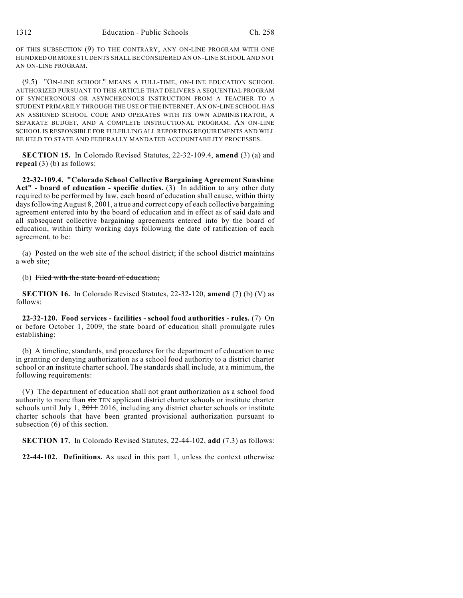OF THIS SUBSECTION (9) TO THE CONTRARY, ANY ON-LINE PROGRAM WITH ONE HUNDRED OR MORE STUDENTS SHALL BE CONSIDERED AN ON-LINE SCHOOL AND NOT AN ON-LINE PROGRAM.

(9.5) "ON-LINE SCHOOL" MEANS A FULL-TIME, ON-LINE EDUCATION SCHOOL AUTHORIZED PURSUANT TO THIS ARTICLE THAT DELIVERS A SEQUENTIAL PROGRAM OF SYNCHRONOUS OR ASYNCHRONOUS INSTRUCTION FROM A TEACHER TO A STUDENT PRIMARILY THROUGH THE USE OF THE INTERNET. AN ON-LINE SCHOOL HAS AN ASSIGNED SCHOOL CODE AND OPERATES WITH ITS OWN ADMINISTRATOR, A SEPARATE BUDGET, AND A COMPLETE INSTRUCTIONAL PROGRAM. AN ON-LINE SCHOOL IS RESPONSIBLE FOR FULFILLING ALL REPORTING REQUIREMENTS AND WILL BE HELD TO STATE AND FEDERALLY MANDATED ACCOUNTABILITY PROCESSES.

**SECTION 15.** In Colorado Revised Statutes, 22-32-109.4, **amend** (3) (a) and **repeal** (3) (b) as follows:

**22-32-109.4. "Colorado School Collective Bargaining Agreement Sunshine Act" - board of education - specific duties.** (3) In addition to any other duty required to be performed by law, each board of education shall cause, within thirty days following August 8, 2001, a true and correct copy of each collective bargaining agreement entered into by the board of education and in effect as of said date and all subsequent collective bargaining agreements entered into by the board of education, within thirty working days following the date of ratification of each agreement, to be:

(a) Posted on the web site of the school district; if the school district maintains a web site;

(b) Filed with the state board of education;

**SECTION 16.** In Colorado Revised Statutes, 22-32-120, **amend** (7) (b) (V) as follows:

**22-32-120. Food services - facilities - school food authorities - rules.** (7) On or before October 1, 2009, the state board of education shall promulgate rules establishing:

(b) A timeline, standards, and procedures for the department of education to use in granting or denying authorization as a school food authority to a district charter school or an institute charter school. The standards shall include, at a minimum, the following requirements:

(V) The department of education shall not grant authorization as a school food authority to more than  $s$ ix TEN applicant district charter schools or institute charter schools until July 1,  $2011$ ,  $2016$ , including any district charter schools or institute charter schools that have been granted provisional authorization pursuant to subsection (6) of this section.

**SECTION 17.** In Colorado Revised Statutes, 22-44-102, **add** (7.3) as follows:

**22-44-102. Definitions.** As used in this part 1, unless the context otherwise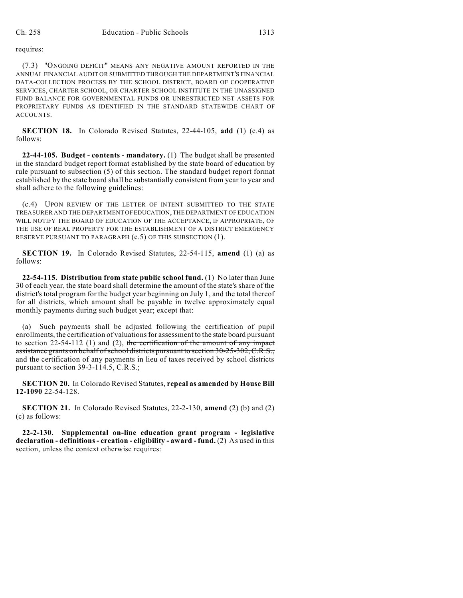requires:

(7.3) "ONGOING DEFICIT" MEANS ANY NEGATIVE AMOUNT REPORTED IN THE ANNUAL FINANCIAL AUDIT OR SUBMITTED THROUGH THE DEPARTMENT'S FINANCIAL DATA-COLLECTION PROCESS BY THE SCHOOL DISTRICT, BOARD OF COOPERATIVE SERVICES, CHARTER SCHOOL, OR CHARTER SCHOOL INSTITUTE IN THE UNASSIGNED FUND BALANCE FOR GOVERNMENTAL FUNDS OR UNRESTRICTED NET ASSETS FOR PROPRIETARY FUNDS AS IDENTIFIED IN THE STANDARD STATEWIDE CHART OF ACCOUNTS.

**SECTION 18.** In Colorado Revised Statutes, 22-44-105, **add** (1) (c.4) as follows:

**22-44-105. Budget - contents - mandatory.** (1) The budget shall be presented in the standard budget report format established by the state board of education by rule pursuant to subsection (5) of this section. The standard budget report format established by the state board shall be substantially consistent from year to year and shall adhere to the following guidelines:

(c.4) UPON REVIEW OF THE LETTER OF INTENT SUBMITTED TO THE STATE TREASURER AND THE DEPARTMENT OFEDUCATION, THE DEPARTMENT OF EDUCATION WILL NOTIFY THE BOARD OF EDUCATION OF THE ACCEPTANCE, IF APPROPRIATE, OF THE USE OF REAL PROPERTY FOR THE ESTABLISHMENT OF A DISTRICT EMERGENCY RESERVE PURSUANT TO PARAGRAPH  $(c.5)$  OF THIS SUBSECTION  $(1)$ .

**SECTION 19.** In Colorado Revised Statutes, 22-54-115, **amend** (1) (a) as follows:

**22-54-115. Distribution from state public school fund.** (1) No later than June 30 of each year, the state board shall determine the amount of the state's share of the district's total program for the budget year beginning on July 1, and the total thereof for all districts, which amount shall be payable in twelve approximately equal monthly payments during such budget year; except that:

(a) Such payments shall be adjusted following the certification of pupil enrollments, the certification of valuationsfor assessment to the state board pursuant to section  $22-54-112$  (1) and (2), the certification of the amount of any impact assistance grants on behalf of school districts pursuant to section 30-25-302, C.R.S., and the certification of any payments in lieu of taxes received by school districts pursuant to section 39-3-114.5, C.R.S.;

**SECTION 20.** In Colorado Revised Statutes, **repeal as amended by House Bill 12-1090** 22-54-128.

**SECTION 21.** In Colorado Revised Statutes, 22-2-130, **amend** (2) (b) and (2) (c) as follows:

**22-2-130. Supplemental on-line education grant program - legislative declaration - definitions - creation - eligibility - award - fund.** (2) As used in this section, unless the context otherwise requires: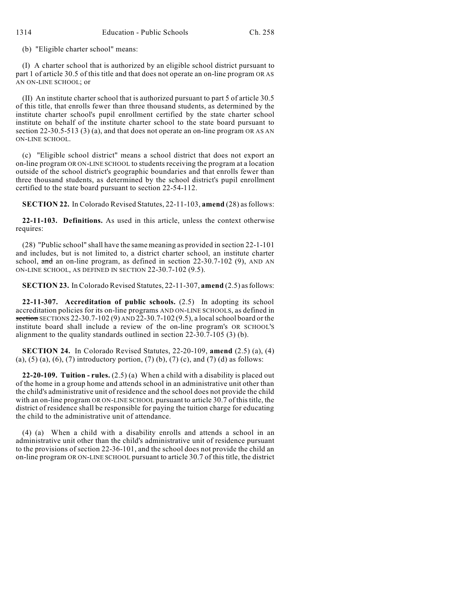(b) "Eligible charter school" means:

(I) A charter school that is authorized by an eligible school district pursuant to part 1 of article 30.5 of this title and that does not operate an on-line program OR AS AN ON-LINE SCHOOL; or

(II) An institute charter school that is authorized pursuant to part 5 of article 30.5 of this title, that enrolls fewer than three thousand students, as determined by the institute charter school's pupil enrollment certified by the state charter school institute on behalf of the institute charter school to the state board pursuant to section 22-30.5-513 (3) (a), and that does not operate an on-line program OR AS AN ON-LINE SCHOOL.

(c) "Eligible school district" means a school district that does not export an on-line program OR ON-LINE SCHOOL to students receiving the program at a location outside of the school district's geographic boundaries and that enrolls fewer than three thousand students, as determined by the school district's pupil enrollment certified to the state board pursuant to section 22-54-112.

**SECTION 22.** In Colorado Revised Statutes, 22-11-103, **amend** (28) as follows:

**22-11-103. Definitions.** As used in this article, unless the context otherwise requires:

(28) "Public school" shall have the same meaning as provided in section 22-1-101 and includes, but is not limited to, a district charter school, an institute charter school, and an on-line program, as defined in section 22-30.7-102 (9), AND AN ON-LINE SCHOOL, AS DEFINED IN SECTION 22-30.7-102 (9.5).

**SECTION 23.** In Colorado Revised Statutes, 22-11-307, **amend** (2.5) as follows:

**22-11-307. Accreditation of public schools.** (2.5) In adopting its school accreditation policies for its on-line programs AND ON-LINE SCHOOLS, as defined in section SECTIONS 22-30.7-102 (9) AND 22-30.7-102 (9.5), a localschool board or the institute board shall include a review of the on-line program's OR SCHOOL'S alignment to the quality standards outlined in section 22-30.7-105 (3) (b).

**SECTION 24.** In Colorado Revised Statutes, 22-20-109, **amend** (2.5) (a), (4) (a), (5) (a), (6), (7) introductory portion, (7) (b), (7) (c), and (7) (d) as follows:

**22-20-109. Tuition - rules.** (2.5) (a) When a child with a disability is placed out of the home in a group home and attends school in an administrative unit other than the child's administrative unit of residence and the school does not provide the child with an on-line program OR ON-LINE SCHOOL pursuant to article 30.7 of this title, the district of residence shall be responsible for paying the tuition charge for educating the child to the administrative unit of attendance.

(4) (a) When a child with a disability enrolls and attends a school in an administrative unit other than the child's administrative unit of residence pursuant to the provisions of section 22-36-101, and the school does not provide the child an on-line program OR ON-LINE SCHOOL pursuant to article 30.7 of this title, the district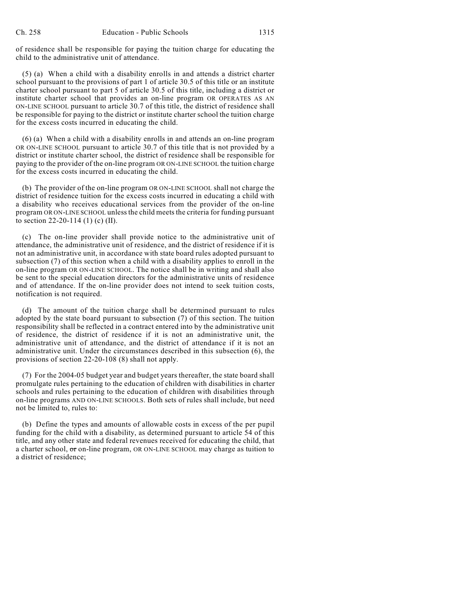of residence shall be responsible for paying the tuition charge for educating the child to the administrative unit of attendance.

(5) (a) When a child with a disability enrolls in and attends a district charter school pursuant to the provisions of part 1 of article 30.5 of this title or an institute charter school pursuant to part 5 of article 30.5 of this title, including a district or institute charter school that provides an on-line program OR OPERATES AS AN ON-LINE SCHOOL pursuant to article 30.7 of this title, the district of residence shall be responsible for paying to the district or institute charter school the tuition charge for the excess costs incurred in educating the child.

(6) (a) When a child with a disability enrolls in and attends an on-line program OR ON-LINE SCHOOL pursuant to article 30.7 of this title that is not provided by a district or institute charter school, the district of residence shall be responsible for paying to the provider of the on-line program OR ON-LINE SCHOOL the tuition charge for the excess costs incurred in educating the child.

(b) The provider of the on-line program OR ON-LINE SCHOOL shall not charge the district of residence tuition for the excess costs incurred in educating a child with a disability who receives educational services from the provider of the on-line program OR ON-LINE SCHOOL unless the child meets the criteria for funding pursuant to section 22-20-114 (1) (c) (II).

(c) The on-line provider shall provide notice to the administrative unit of attendance, the administrative unit of residence, and the district of residence if it is not an administrative unit, in accordance with state board rules adopted pursuant to subsection (7) of this section when a child with a disability applies to enroll in the on-line program OR ON-LINE SCHOOL. The notice shall be in writing and shall also be sent to the special education directors for the administrative units of residence and of attendance. If the on-line provider does not intend to seek tuition costs, notification is not required.

(d) The amount of the tuition charge shall be determined pursuant to rules adopted by the state board pursuant to subsection (7) of this section. The tuition responsibility shall be reflected in a contract entered into by the administrative unit of residence, the district of residence if it is not an administrative unit, the administrative unit of attendance, and the district of attendance if it is not an administrative unit. Under the circumstances described in this subsection (6), the provisions of section 22-20-108 (8) shall not apply.

(7) For the 2004-05 budget year and budget years thereafter, the state board shall promulgate rules pertaining to the education of children with disabilities in charter schools and rules pertaining to the education of children with disabilities through on-line programs AND ON-LINE SCHOOLS. Both sets of rules shall include, but need not be limited to, rules to:

(b) Define the types and amounts of allowable costs in excess of the per pupil funding for the child with a disability, as determined pursuant to article 54 of this title, and any other state and federal revenues received for educating the child, that a charter school,  $\sigma r$  on-line program, OR ON-LINE SCHOOL may charge as tuition to a district of residence;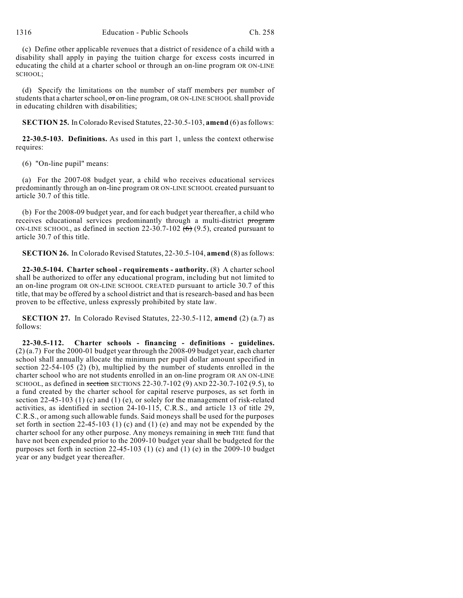(c) Define other applicable revenues that a district of residence of a child with a disability shall apply in paying the tuition charge for excess costs incurred in educating the child at a charter school or through an on-line program OR ON-LINE SCHOOL;

(d) Specify the limitations on the number of staff members per number of students that a charter school,  $\sigma$  on-line program, OR ON-LINE SCHOOL shall provide in educating children with disabilities;

**SECTION 25.** InColorado Revised Statutes, 22-30.5-103, **amend** (6) asfollows:

**22-30.5-103. Definitions.** As used in this part 1, unless the context otherwise requires:

(6) "On-line pupil" means:

(a) For the 2007-08 budget year, a child who receives educational services predominantly through an on-line program OR ON-LINE SCHOOL created pursuant to article 30.7 of this title.

(b) For the 2008-09 budget year, and for each budget year thereafter, a child who receives educational services predominantly through a multi-district program ON-LINE SCHOOL, as defined in section 22-30.7-102  $(6)$  (9.5), created pursuant to article 30.7 of this title.

**SECTION 26.** In Colorado Revised Statutes, 22-30.5-104, **amend** (8) asfollows:

**22-30.5-104. Charter school - requirements - authority.** (8) A charter school shall be authorized to offer any educational program, including but not limited to an on-line program OR ON-LINE SCHOOL CREATED pursuant to article 30.7 of this title, that may be offered by a school district and that is research-based and has been proven to be effective, unless expressly prohibited by state law.

**SECTION 27.** In Colorado Revised Statutes, 22-30.5-112, **amend** (2) (a.7) as follows:

**22-30.5-112. Charter schools - financing - definitions - guidelines.** (2) (a.7) For the 2000-01 budget year through the 2008-09 budget year, each charter school shall annually allocate the minimum per pupil dollar amount specified in section 22-54-105 (2) (b), multiplied by the number of students enrolled in the charter school who are not students enrolled in an on-line program OR AN ON-LINE SCHOOL, as defined in section SECTIONS 22-30.7-102 (9) AND 22-30.7-102 (9.5), to a fund created by the charter school for capital reserve purposes, as set forth in section 22-45-103 (1) (c) and (1) (e), or solely for the management of risk-related activities, as identified in section 24-10-115, C.R.S., and article 13 of title 29, C.R.S., or among such allowable funds. Said moneys shall be used for the purposes set forth in section 22-45-103 (1) (c) and (1) (e) and may not be expended by the charter school for any other purpose. Any moneys remaining in such THE fund that have not been expended prior to the 2009-10 budget year shall be budgeted for the purposes set forth in section 22-45-103 (1) (c) and (1) (e) in the 2009-10 budget year or any budget year thereafter.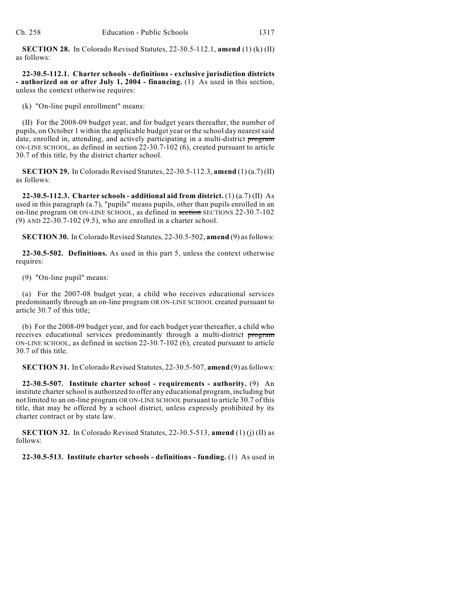**SECTION 28.** In Colorado Revised Statutes, 22-30.5-112.1, **amend** (1) (k) (II) as follows:

**22-30.5-112.1. Charter schools - definitions - exclusive jurisdiction districts - authorized on or after July 1, 2004 - financing.** (1) As used in this section, unless the context otherwise requires:

(k) "On-line pupil enrollment" means:

(II) For the 2008-09 budget year, and for budget years thereafter, the number of pupils, on October 1 within the applicable budget year or the school day nearestsaid date, enrolled in, attending, and actively participating in a multi-district program ON-LINE SCHOOL, as defined in section 22-30.7-102 (6), created pursuant to article 30.7 of this title, by the district charter school.

**SECTION 29.** In Colorado Revised Statutes, 22-30.5-112.3, **amend** (1) (a.7) (II) as follows:

**22-30.5-112.3. Charter schools - additional aid from district.** (1) (a.7) (II) As used in this paragraph (a.7), "pupils" means pupils, other than pupils enrolled in an on-line program OR ON-LINE SCHOOL, as defined in section SECTIONS 22-30.7-102 (9) AND 22-30.7-102 (9.5), who are enrolled in a charter school.

**SECTION 30.** In Colorado Revised Statutes, 22-30.5-502, **amend** (9) asfollows:

**22-30.5-502. Definitions.** As used in this part 5, unless the context otherwise requires:

(9) "On-line pupil" means:

(a) For the 2007-08 budget year, a child who receives educational services predominantly through an on-line program OR ON-LINE SCHOOL created pursuant to article 30.7 of this title;

(b) For the 2008-09 budget year, and for each budget year thereafter, a child who receives educational services predominantly through a multi-district program ON-LINE SCHOOL, as defined in section 22-30.7-102 (6), created pursuant to article 30.7 of this title.

**SECTION 31.** In Colorado Revised Statutes, 22-30.5-507, **amend** (9) as follows:

**22-30.5-507. Institute charter school - requirements - authority.** (9) An institute charter school is authorized to offer any educational program, including but not limited to an on-line program OR ON-LINE SCHOOL pursuant to article 30.7 of this title, that may be offered by a school district, unless expressly prohibited by its charter contract or by state law.

**SECTION 32.** In Colorado Revised Statutes, 22-30.5-513, **amend** (1) (j) (II) as follows:

**22-30.5-513. Institute charter schools - definitions - funding.** (1) As used in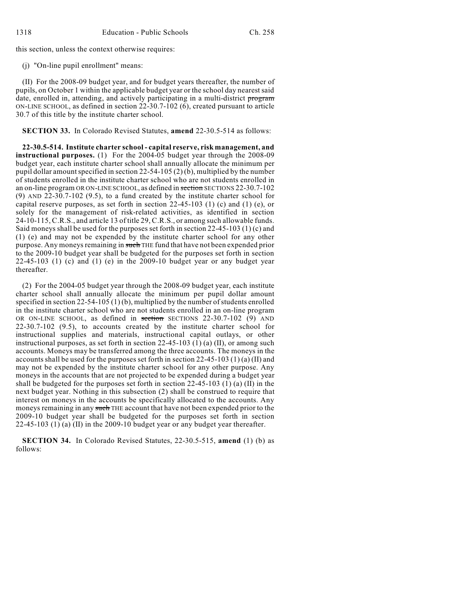this section, unless the context otherwise requires:

(j) "On-line pupil enrollment" means:

(II) For the 2008-09 budget year, and for budget years thereafter, the number of pupils, on October 1 within the applicable budget year or the school day nearest said date, enrolled in, attending, and actively participating in a multi-district program ON-LINE SCHOOL, as defined in section 22-30.7-102 (6), created pursuant to article 30.7 of this title by the institute charter school.

**SECTION 33.** In Colorado Revised Statutes, **amend** 22-30.5-514 as follows:

**22-30.5-514. Institute charter school - capital reserve, risk management, and instructional purposes.** (1) For the 2004-05 budget year through the 2008-09 budget year, each institute charter school shall annually allocate the minimum per pupil dollar amount specified in section  $22-54-105(2)$  (b), multiplied by the number of students enrolled in the institute charter school who are not students enrolled in an on-line program OR ON-LINE SCHOOL, as defined in section SECTIONS 22-30.7-102 (9) AND 22-30.7-102 (9.5), to a fund created by the institute charter school for capital reserve purposes, as set forth in section 22-45-103 (1) (c) and (1) (e), or solely for the management of risk-related activities, as identified in section 24-10-115, C.R.S., and article 13 of title 29, C.R.S., or among such allowable funds. Said moneys shall be used for the purposes set forth in section 22-45-103 (1) (c) and (1) (e) and may not be expended by the institute charter school for any other purpose. Any moneys remaining in such THE fund that have not been expended prior to the 2009-10 budget year shall be budgeted for the purposes set forth in section  $22-45-103$  (1) (c) and (1) (e) in the  $2009-10$  budget year or any budget year thereafter.

(2) For the 2004-05 budget year through the 2008-09 budget year, each institute charter school shall annually allocate the minimum per pupil dollar amount specified in section  $22-54-105(1)(b)$ , multiplied by the number of students enrolled in the institute charter school who are not students enrolled in an on-line program OR ON-LINE SCHOOL, as defined in section SECTIONS 22-30.7-102 (9) AND 22-30.7-102 (9.5), to accounts created by the institute charter school for instructional supplies and materials, instructional capital outlays, or other instructional purposes, as set forth in section  $22-45-103$  (1) (a) (II), or among such accounts. Moneys may be transferred among the three accounts. The moneys in the accounts shall be used for the purposes set forth in section 22-45-103 (1) (a) (II) and may not be expended by the institute charter school for any other purpose. Any moneys in the accounts that are not projected to be expended during a budget year shall be budgeted for the purposes set forth in section  $22-45-103$  (1) (a) (II) in the next budget year. Nothing in this subsection (2) shall be construed to require that interest on moneys in the accounts be specifically allocated to the accounts. Any moneys remaining in any such THE account that have not been expended prior to the 2009-10 budget year shall be budgeted for the purposes set forth in section 22-45-103 (1) (a) (II) in the 2009-10 budget year or any budget year thereafter.

**SECTION 34.** In Colorado Revised Statutes, 22-30.5-515, **amend** (1) (b) as follows: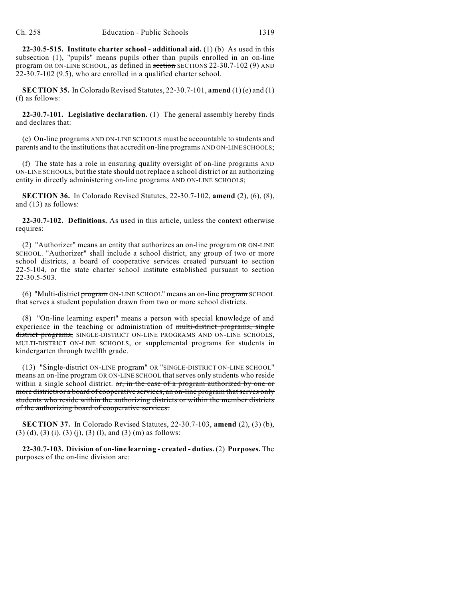**22-30.5-515. Institute charter school - additional aid.** (1) (b) As used in this subsection (1), "pupils" means pupils other than pupils enrolled in an on-line program OR ON-LINE SCHOOL, as defined in section SECTIONS 22-30.7-102 (9) AND 22-30.7-102 (9.5), who are enrolled in a qualified charter school.

**SECTION 35.** In Colorado Revised Statutes, 22-30.7-101, **amend** (1) (e) and (1) (f) as follows:

**22-30.7-101. Legislative declaration.** (1) The general assembly hereby finds and declares that:

(e) On-line programs AND ON-LINE SCHOOLS must be accountable to students and parents and to the institutionsthat accredit on-line programs AND ON-LINE SCHOOLS;

(f) The state has a role in ensuring quality oversight of on-line programs AND ON-LINE SCHOOLS, but the state should not replace a school district or an authorizing entity in directly administering on-line programs AND ON-LINE SCHOOLS;

**SECTION 36.** In Colorado Revised Statutes, 22-30.7-102, **amend** (2), (6), (8), and (13) as follows:

**22-30.7-102. Definitions.** As used in this article, unless the context otherwise requires:

(2) "Authorizer" means an entity that authorizes an on-line program OR ON-LINE SCHOOL. "Authorizer" shall include a school district, any group of two or more school districts, a board of cooperative services created pursuant to section 22-5-104, or the state charter school institute established pursuant to section 22-30.5-503.

(6) "Multi-district program ON-LINE SCHOOL" means an on-line program SCHOOL that serves a student population drawn from two or more school districts.

(8) "On-line learning expert" means a person with special knowledge of and experience in the teaching or administration of multi-district programs, single district programs, SINGLE-DISTRICT ON-LINE PROGRAMS AND ON-LINE SCHOOLS, MULTI-DISTRICT ON-LINE SCHOOLS, or supplemental programs for students in kindergarten through twelfth grade.

(13) "Single-district ON-LINE program" OR "SINGLE-DISTRICT ON-LINE SCHOOL" means an on-line program OR ON-LINE SCHOOL that serves only students who reside within a single school district. or, in the case of a program authorized by one or more districts or a board of cooperative services, an on-line program that serves only students who reside within the authorizing districts or within the member districts of the authorizing board of cooperative services.

**SECTION 37.** In Colorado Revised Statutes, 22-30.7-103, **amend** (2), (3) (b), (3) (d), (3) (i), (3) (j), (3) (l), and (3) (m) as follows:

**22-30.7-103. Division of on-line learning - created - duties.** (2) **Purposes.** The purposes of the on-line division are: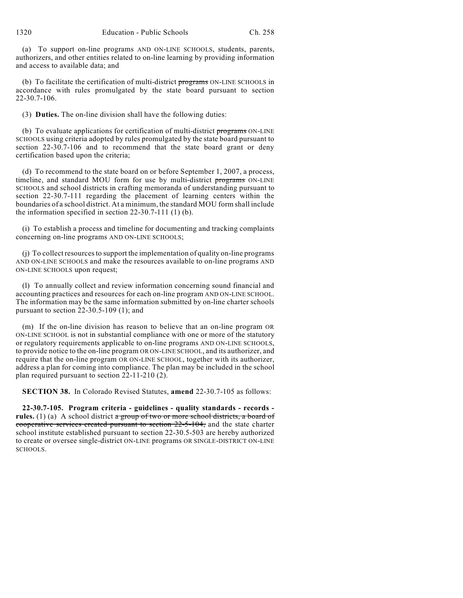1320 Education - Public Schools Ch. 258

(a) To support on-line programs AND ON-LINE SCHOOLS, students, parents, authorizers, and other entities related to on-line learning by providing information and access to available data; and

(b) To facilitate the certification of multi-district programs ON-LINE SCHOOLS in accordance with rules promulgated by the state board pursuant to section 22-30.7-106.

(3) **Duties.** The on-line division shall have the following duties:

(b) To evaluate applications for certification of multi-district programs ON-LINE SCHOOLS using criteria adopted by rules promulgated by the state board pursuant to section 22-30.7-106 and to recommend that the state board grant or deny certification based upon the criteria;

(d) To recommend to the state board on or before September 1, 2007, a process, timeline, and standard MOU form for use by multi-district programs ON-LINE SCHOOLS and school districts in crafting memoranda of understanding pursuant to section 22-30.7-111 regarding the placement of learning centers within the boundaries of a school district. At a minimum, the standard MOU form shall include the information specified in section 22-30.7-111 (1) (b).

(i) To establish a process and timeline for documenting and tracking complaints concerning on-line programs AND ON-LINE SCHOOLS;

(j) To collect resourcesto support the implementation of quality on-line programs AND ON-LINE SCHOOLS and make the resources available to on-line programs AND ON-LINE SCHOOLS upon request;

(l) To annually collect and review information concerning sound financial and accounting practices and resources for each on-line program AND ON-LINE SCHOOL. The information may be the same information submitted by on-line charter schools pursuant to section 22-30.5-109 (1); and

(m) If the on-line division has reason to believe that an on-line program OR ON-LINE SCHOOL is not in substantial compliance with one or more of the statutory or regulatory requirements applicable to on-line programs AND ON-LINE SCHOOLS, to provide notice to the on-line program OR ON-LINE SCHOOL, and its authorizer, and require that the on-line program OR ON-LINE SCHOOL, together with its authorizer, address a plan for coming into compliance. The plan may be included in the school plan required pursuant to section 22-11-210 (2).

**SECTION 38.** In Colorado Revised Statutes, **amend** 22-30.7-105 as follows:

**22-30.7-105. Program criteria - guidelines - quality standards - records rules.** (1) (a) A school district a group of two or more school districts, a board of cooperative services created pursuant to section 22-5-104, and the state charter school institute established pursuant to section 22-30.5-503 are hereby authorized to create or oversee single-district ON-LINE programs OR SINGLE-DISTRICT ON-LINE SCHOOLS.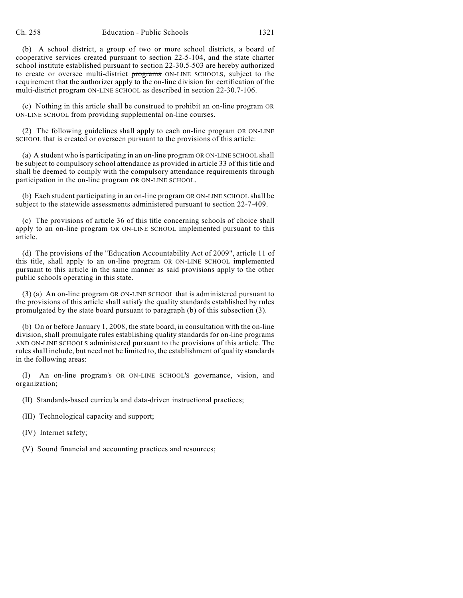(b) A school district, a group of two or more school districts, a board of cooperative services created pursuant to section 22-5-104, and the state charter school institute established pursuant to section 22-30.5-503 are hereby authorized to create or oversee multi-district programs ON-LINE SCHOOLS, subject to the requirement that the authorizer apply to the on-line division for certification of the multi-district program ON-LINE SCHOOL as described in section 22-30.7-106.

(c) Nothing in this article shall be construed to prohibit an on-line program OR ON-LINE SCHOOL from providing supplemental on-line courses.

(2) The following guidelines shall apply to each on-line program OR ON-LINE SCHOOL that is created or overseen pursuant to the provisions of this article:

(a) A student who is participating in an on-line program OR ON-LINE SCHOOL shall be subject to compulsory school attendance as provided in article 33 of this title and shall be deemed to comply with the compulsory attendance requirements through participation in the on-line program OR ON-LINE SCHOOL.

(b) Each student participating in an on-line program OR ON-LINE SCHOOL shall be subject to the statewide assessments administered pursuant to section 22-7-409.

(c) The provisions of article 36 of this title concerning schools of choice shall apply to an on-line program OR ON-LINE SCHOOL implemented pursuant to this article.

(d) The provisions of the "Education Accountability Act of 2009", article 11 of this title, shall apply to an on-line program OR ON-LINE SCHOOL implemented pursuant to this article in the same manner as said provisions apply to the other public schools operating in this state.

(3) (a) An on-line program OR ON-LINE SCHOOL that is administered pursuant to the provisions of this article shall satisfy the quality standards established by rules promulgated by the state board pursuant to paragraph (b) of this subsection (3).

(b) On or before January 1, 2008, the state board, in consultation with the on-line division, shall promulgate rules establishing quality standards for on-line programs AND ON-LINE SCHOOLS administered pursuant to the provisions of this article. The rules shall include, but need not be limited to, the establishment of quality standards in the following areas:

(I) An on-line program's OR ON-LINE SCHOOL'S governance, vision, and organization;

(II) Standards-based curricula and data-driven instructional practices;

(III) Technological capacity and support;

(IV) Internet safety;

(V) Sound financial and accounting practices and resources;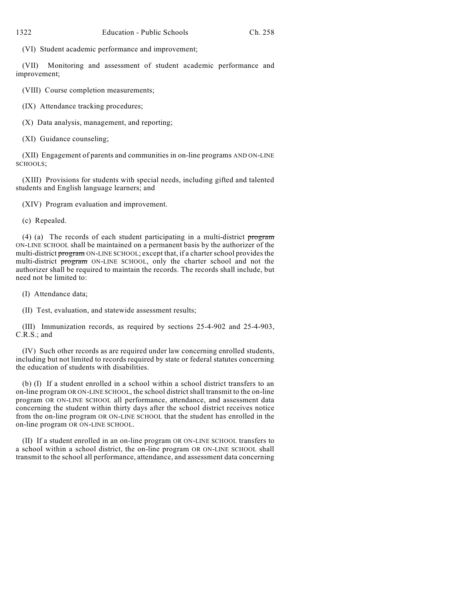(VI) Student academic performance and improvement;

(VII) Monitoring and assessment of student academic performance and improvement;

(VIII) Course completion measurements;

(IX) Attendance tracking procedures;

(X) Data analysis, management, and reporting;

(XI) Guidance counseling;

(XII) Engagement of parents and communities in on-line programs AND ON-LINE SCHOOLS;

(XIII) Provisions for students with special needs, including gifted and talented students and English language learners; and

(XIV) Program evaluation and improvement.

(c) Repealed.

(4) (a) The records of each student participating in a multi-district program ON-LINE SCHOOL shall be maintained on a permanent basis by the authorizer of the multi-district program ON-LINE SCHOOL; except that, if a charter school provides the multi-district program ON-LINE SCHOOL, only the charter school and not the authorizer shall be required to maintain the records. The records shall include, but need not be limited to:

(I) Attendance data;

(II) Test, evaluation, and statewide assessment results;

(III) Immunization records, as required by sections 25-4-902 and 25-4-903, C.R.S.; and

(IV) Such other records as are required under law concerning enrolled students, including but not limited to records required by state or federal statutes concerning the education of students with disabilities.

(b) (I) If a student enrolled in a school within a school district transfers to an on-line program OR ON-LINE SCHOOL, the school districtshall transmit to the on-line program OR ON-LINE SCHOOL all performance, attendance, and assessment data concerning the student within thirty days after the school district receives notice from the on-line program OR ON-LINE SCHOOL that the student has enrolled in the on-line program OR ON-LINE SCHOOL.

(II) If a student enrolled in an on-line program OR ON-LINE SCHOOL transfers to a school within a school district, the on-line program OR ON-LINE SCHOOL shall transmit to the school all performance, attendance, and assessment data concerning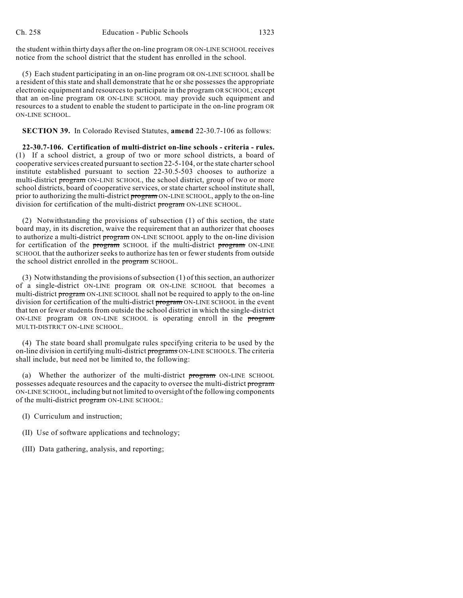the student within thirty days after the on-line program OR ON-LINE SCHOOL receives notice from the school district that the student has enrolled in the school.

(5) Each student participating in an on-line program OR ON-LINE SCHOOL shall be a resident of this state and shall demonstrate that he or she possesses the appropriate electronic equipment and resources to participate in the program OR SCHOOL; except that an on-line program OR ON-LINE SCHOOL may provide such equipment and resources to a student to enable the student to participate in the on-line program OR ON-LINE SCHOOL.

**SECTION 39.** In Colorado Revised Statutes, **amend** 22-30.7-106 as follows:

**22-30.7-106. Certification of multi-district on-line schools - criteria - rules.** (1) If a school district, a group of two or more school districts, a board of cooperative services created pursuant to section 22-5-104, or the state charterschool institute established pursuant to section 22-30.5-503 chooses to authorize a multi-district program ON-LINE SCHOOL, the school district, group of two or more school districts, board of cooperative services, or state charter school institute shall, prior to authorizing the multi-district program ON-LINE SCHOOL, apply to the on-line division for certification of the multi-district program ON-LINE SCHOOL.

(2) Notwithstanding the provisions of subsection (1) of this section, the state board may, in its discretion, waive the requirement that an authorizer that chooses to authorize a multi-district program ON-LINE SCHOOL apply to the on-line division for certification of the program SCHOOL if the multi-district program ON-LINE SCHOOL that the authorizer seeks to authorize has ten or fewer students from outside the school district enrolled in the **program** SCHOOL.

(3) Notwithstanding the provisions of subsection  $(1)$  of this section, an authorizer of a single-district ON-LINE program OR ON-LINE SCHOOL that becomes a multi-district program ON-LINE SCHOOL shall not be required to apply to the on-line division for certification of the multi-district program ON-LINE SCHOOL in the event that ten or fewer students from outside the school district in which the single-district ON-LINE program OR ON-LINE SCHOOL is operating enroll in the program MULTI-DISTRICT ON-LINE SCHOOL.

(4) The state board shall promulgate rules specifying criteria to be used by the on-line division in certifying multi-district programs ON-LINE SCHOOLS. The criteria shall include, but need not be limited to, the following:

(a) Whether the authorizer of the multi-district program ON-LINE SCHOOL possesses adequate resources and the capacity to oversee the multi-district program ON-LINE SCHOOL, including but not limited to oversight of the following components of the multi-district program ON-LINE SCHOOL:

- (I) Curriculum and instruction;
- (II) Use of software applications and technology;
- (III) Data gathering, analysis, and reporting;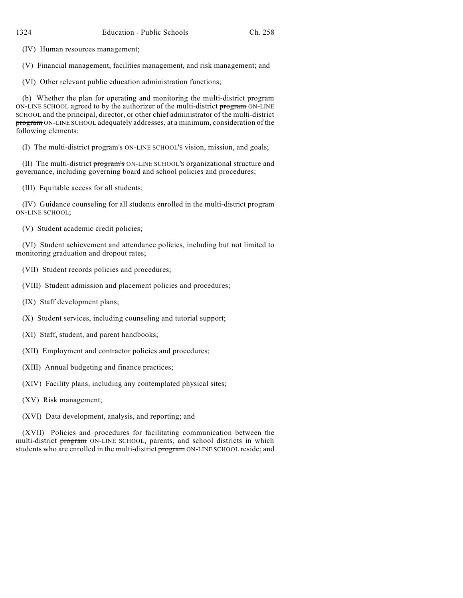(IV) Human resources management;

(V) Financial management, facilities management, and risk management; and

(VI) Other relevant public education administration functions;

(b) Whether the plan for operating and monitoring the multi-district program ON-LINE SCHOOL agreed to by the authorizer of the multi-district program ON-LINE SCHOOL and the principal, director, or other chief administrator of the multi-district program ON-LINE SCHOOL adequately addresses, at a minimum, consideration of the following elements:

(I) The multi-district program's ON-LINE SCHOOL'S vision, mission, and goals;

(II) The multi-district program's ON-LINE SCHOOL'S organizational structure and governance, including governing board and school policies and procedures;

(III) Equitable access for all students;

(IV) Guidance counseling for all students enrolled in the multi-district program ON-LINE SCHOOL;

(V) Student academic credit policies;

(VI) Student achievement and attendance policies, including but not limited to monitoring graduation and dropout rates;

(VII) Student records policies and procedures;

(VIII) Student admission and placement policies and procedures;

(IX) Staff development plans;

(X) Student services, including counseling and tutorial support;

(XI) Staff, student, and parent handbooks;

(XII) Employment and contractor policies and procedures;

(XIII) Annual budgeting and finance practices;

(XIV) Facility plans, including any contemplated physical sites;

(XV) Risk management;

(XVI) Data development, analysis, and reporting; and

(XVII) Policies and procedures for facilitating communication between the multi-district program ON-LINE SCHOOL, parents, and school districts in which students who are enrolled in the multi-district program ON-LINE SCHOOL reside; and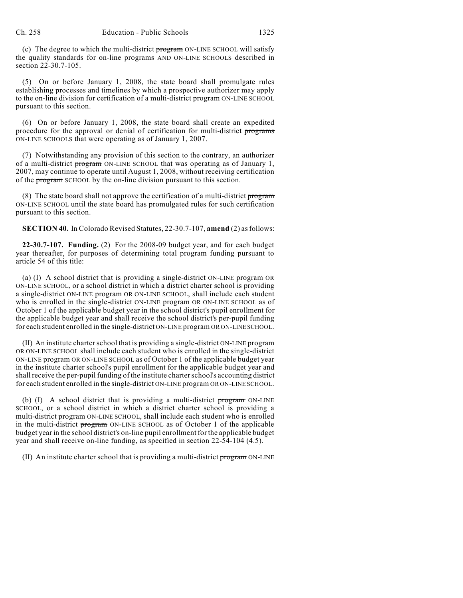(c) The degree to which the multi-district program ON-LINE SCHOOL will satisfy the quality standards for on-line programs AND ON-LINE SCHOOLS described in section 22-30.7-105.

(5) On or before January 1, 2008, the state board shall promulgate rules establishing processes and timelines by which a prospective authorizer may apply to the on-line division for certification of a multi-district program ON-LINE SCHOOL pursuant to this section.

(6) On or before January 1, 2008, the state board shall create an expedited procedure for the approval or denial of certification for multi-district programs ON-LINE SCHOOLS that were operating as of January 1, 2007.

(7) Notwithstanding any provision of this section to the contrary, an authorizer of a multi-district program ON-LINE SCHOOL that was operating as of January 1, 2007, may continue to operate until August 1, 2008, without receiving certification of the program SCHOOL by the on-line division pursuant to this section.

(8) The state board shall not approve the certification of a multi-district program ON-LINE SCHOOL until the state board has promulgated rules for such certification pursuant to this section.

**SECTION 40.** In Colorado Revised Statutes, 22-30.7-107, **amend** (2) asfollows:

**22-30.7-107. Funding.** (2) For the 2008-09 budget year, and for each budget year thereafter, for purposes of determining total program funding pursuant to article 54 of this title:

(a) (I) A school district that is providing a single-district ON-LINE program OR ON-LINE SCHOOL, or a school district in which a district charter school is providing a single-district ON-LINE program OR ON-LINE SCHOOL, shall include each student who is enrolled in the single-district ON-LINE program OR ON-LINE SCHOOL as of October 1 of the applicable budget year in the school district's pupil enrollment for the applicable budget year and shall receive the school district's per-pupil funding for each student enrolled in the single-district ON-LINE program OR ON-LINE SCHOOL.

(II) An institute charter school that is providing a single-district ON-LINE program OR ON-LINE SCHOOL shall include each student who is enrolled in the single-district ON-LINE program OR ON-LINE SCHOOL as of October 1 of the applicable budget year in the institute charter school's pupil enrollment for the applicable budget year and shall receive the per-pupil funding of the institute charter school's accounting district for each student enrolled in the single-district ON-LINE program OR ON-LINE SCHOOL.

(b) (I) A school district that is providing a multi-district program ON-LINE SCHOOL, or a school district in which a district charter school is providing a multi-district program ON-LINE SCHOOL, shall include each student who is enrolled in the multi-district program ON-LINE SCHOOL as of October 1 of the applicable budget year in the school district's on-line pupil enrollment for the applicable budget year and shall receive on-line funding, as specified in section 22-54-104 (4.5).

(II) An institute charter school that is providing a multi-district program ON-LINE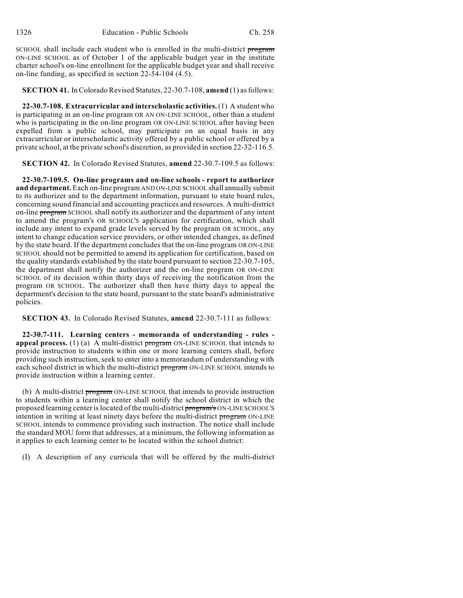SCHOOL shall include each student who is enrolled in the multi-district program ON-LINE SCHOOL as of October 1 of the applicable budget year in the institute charter school's on-line enrollment for the applicable budget year and shall receive on-line funding, as specified in section 22-54-104 (4.5).

## **SECTION 41.** InColorado Revised Statutes, 22-30.7-108, **amend** (1) asfollows:

**22-30.7-108. Extracurricular and interscholastic activities.** (1) A student who is participating in an on-line program OR AN ON-LINE SCHOOL, other than a student who is participating in the on-line program OR ON-LINE SCHOOL after having been expelled from a public school, may participate on an equal basis in any extracurricular or interscholastic activity offered by a public school or offered by a private school, at the private school's discretion, as provided in section 22-32-116.5.

**SECTION 42.** In Colorado Revised Statutes, **amend** 22-30.7-109.5 as follows:

**22-30.7-109.5. On-line programs and on-line schools - report to authorizer and department.** Each on-line program AND ON-LINE SCHOOL shall annually submit to its authorizer and to the department information, pursuant to state board rules, concerning sound financial and accounting practices and resources. A multi-district on-line program SCHOOL shall notify its authorizer and the department of any intent to amend the program's OR SCHOOL'S application for certification, which shall include any intent to expand grade levels served by the program OR SCHOOL, any intent to change education service providers, or other intended changes, as defined by the state board. If the department concludes that the on-line program OR ON-LINE SCHOOL should not be permitted to amend its application for certification, based on the quality standards established by the state board pursuant to section 22-30.7-105, the department shall notify the authorizer and the on-line program OR ON-LINE SCHOOL of its decision within thirty days of receiving the notification from the program OR SCHOOL. The authorizer shall then have thirty days to appeal the department's decision to the state board, pursuant to the state board's administrative policies.

**SECTION 43.** In Colorado Revised Statutes, **amend** 22-30.7-111 as follows:

**22-30.7-111. Learning centers - memoranda of understanding - rules appeal process.** (1) (a) A multi-district program ON-LINE SCHOOL that intends to provide instruction to students within one or more learning centers shall, before providing such instruction, seek to enter into a memorandum of understanding with each school district in which the multi-district program ON-LINE SCHOOL intends to provide instruction within a learning center.

(b) A multi-district program ON-LINE SCHOOL that intends to provide instruction to students within a learning center shall notify the school district in which the proposed learning center islocated of the multi-district program's ON-LINE SCHOOL'S intention in writing at least ninety days before the multi-district program ON-LINE SCHOOL intends to commence providing such instruction. The notice shall include the standard MOU form that addresses, at a minimum, the following information as it applies to each learning center to be located within the school district:

(I) A description of any curricula that will be offered by the multi-district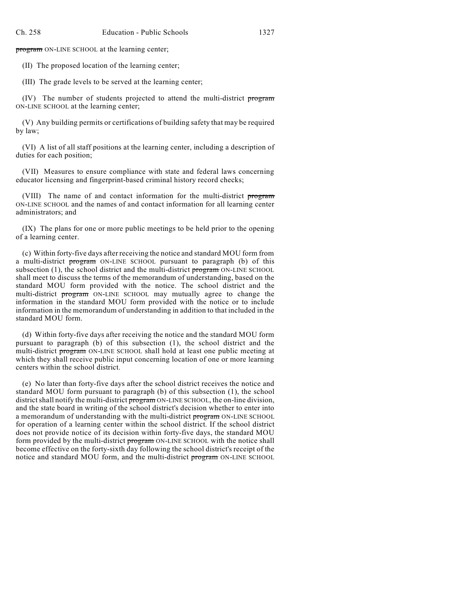program ON-LINE SCHOOL at the learning center;

(II) The proposed location of the learning center;

(III) The grade levels to be served at the learning center;

(IV) The number of students projected to attend the multi-district program ON-LINE SCHOOL at the learning center;

(V) Any building permits or certifications of building safety that may be required by law;

(VI) A list of all staff positions at the learning center, including a description of duties for each position;

(VII) Measures to ensure compliance with state and federal laws concerning educator licensing and fingerprint-based criminal history record checks;

(VIII) The name of and contact information for the multi-district program ON-LINE SCHOOL and the names of and contact information for all learning center administrators; and

(IX) The plans for one or more public meetings to be held prior to the opening of a learning center.

(c) Within forty-five days after receiving the notice and standard MOU form from a multi-district program ON-LINE SCHOOL pursuant to paragraph (b) of this subsection  $(1)$ , the school district and the multi-district program ON-LINE SCHOOL shall meet to discuss the terms of the memorandum of understanding, based on the standard MOU form provided with the notice. The school district and the multi-district program ON-LINE SCHOOL may mutually agree to change the information in the standard MOU form provided with the notice or to include information in the memorandum of understanding in addition to that included in the standard MOU form.

(d) Within forty-five days after receiving the notice and the standard MOU form pursuant to paragraph (b) of this subsection (1), the school district and the multi-district program ON-LINE SCHOOL shall hold at least one public meeting at which they shall receive public input concerning location of one or more learning centers within the school district.

(e) No later than forty-five days after the school district receives the notice and standard MOU form pursuant to paragraph (b) of this subsection (1), the school district shall notify the multi-district program ON-LINE SCHOOL, the on-line division, and the state board in writing of the school district's decision whether to enter into a memorandum of understanding with the multi-district program ON-LINE SCHOOL for operation of a learning center within the school district. If the school district does not provide notice of its decision within forty-five days, the standard MOU form provided by the multi-district program ON-LINE SCHOOL with the notice shall become effective on the forty-sixth day following the school district's receipt of the notice and standard MOU form, and the multi-district program ON-LINE SCHOOL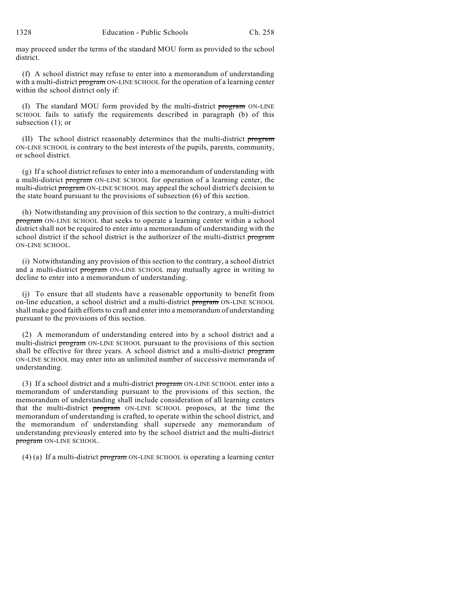may proceed under the terms of the standard MOU form as provided to the school district.

(f) A school district may refuse to enter into a memorandum of understanding with a multi-district program ON-LINE SCHOOL for the operation of a learning center within the school district only if:

(I) The standard MOU form provided by the multi-district program ON-LINE SCHOOL fails to satisfy the requirements described in paragraph (b) of this subsection (1); or

(II) The school district reasonably determines that the multi-district program ON-LINE SCHOOL is contrary to the best interests of the pupils, parents, community, or school district.

(g) If a school district refuses to enter into a memorandum of understanding with a multi-district program ON-LINE SCHOOL for operation of a learning center, the multi-district program ON-LINE SCHOOL may appeal the school district's decision to the state board pursuant to the provisions of subsection (6) of this section.

(h) Notwithstanding any provision of this section to the contrary, a multi-district program ON-LINE SCHOOL that seeks to operate a learning center within a school district shall not be required to enter into a memorandum of understanding with the school district if the school district is the authorizer of the multi-district program ON-LINE SCHOOL.

(i) Notwithstanding any provision of this section to the contrary, a school district and a multi-district program ON-LINE SCHOOL may mutually agree in writing to decline to enter into a memorandum of understanding.

(j) To ensure that all students have a reasonable opportunity to benefit from on-line education, a school district and a multi-district program ON-LINE SCHOOL shall make good faith efforts to craft and enter into a memorandum of understanding pursuant to the provisions of this section.

(2) A memorandum of understanding entered into by a school district and a multi-district program ON-LINE SCHOOL pursuant to the provisions of this section shall be effective for three years. A school district and a multi-district program ON-LINE SCHOOL may enter into an unlimited number of successive memoranda of understanding.

(3) If a school district and a multi-district  $\frac{1}{100}$  on-LINE SCHOOL enter into a memorandum of understanding pursuant to the provisions of this section, the memorandum of understanding shall include consideration of all learning centers that the multi-district program ON-LINE SCHOOL proposes, at the time the memorandum of understanding is crafted, to operate within the school district, and the memorandum of understanding shall supersede any memorandum of understanding previously entered into by the school district and the multi-district program ON-LINE SCHOOL.

(4) (a) If a multi-district program ON-LINE SCHOOL is operating a learning center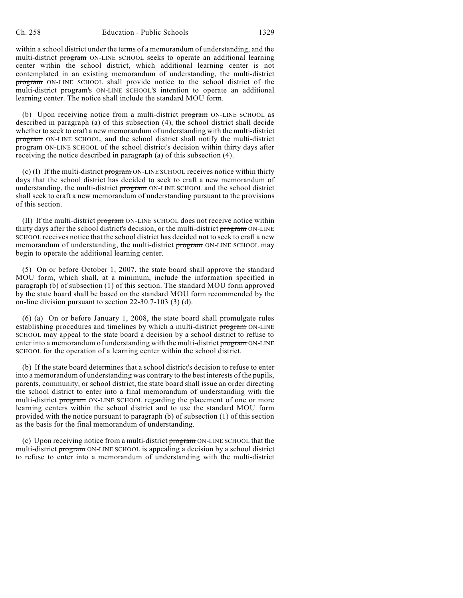within a school district under the terms of a memorandum of understanding, and the multi-district program ON-LINE SCHOOL seeks to operate an additional learning center within the school district, which additional learning center is not contemplated in an existing memorandum of understanding, the multi-district program ON-LINE SCHOOL shall provide notice to the school district of the multi-district program's ON-LINE SCHOOL'S intention to operate an additional learning center. The notice shall include the standard MOU form.

(b) Upon receiving notice from a multi-district  $\frac{1}{100}$  on-LINE SCHOOL as described in paragraph (a) of this subsection (4), the school district shall decide whether to seek to craft a new memorandum of understanding with the multi-district program ON-LINE SCHOOL, and the school district shall notify the multi-district program ON-LINE SCHOOL of the school district's decision within thirty days after receiving the notice described in paragraph (a) of this subsection (4).

(c) (I) If the multi-district program ON-LINE SCHOOL receives notice within thirty days that the school district has decided to seek to craft a new memorandum of understanding, the multi-district **program** ON-LINE SCHOOL and the school district shall seek to craft a new memorandum of understanding pursuant to the provisions of this section.

(II) If the multi-district program ON-LINE SCHOOL does not receive notice within thirty days after the school district's decision, or the multi-district program ON-LINE SCHOOL receives notice that the school district has decided not to seek to craft a new memorandum of understanding, the multi-district program ON-LINE SCHOOL may begin to operate the additional learning center.

(5) On or before October 1, 2007, the state board shall approve the standard MOU form, which shall, at a minimum, include the information specified in paragraph (b) of subsection (1) of this section. The standard MOU form approved by the state board shall be based on the standard MOU form recommended by the on-line division pursuant to section 22-30.7-103 (3) (d).

(6) (a) On or before January 1, 2008, the state board shall promulgate rules establishing procedures and timelines by which a multi-district program ON-LINE SCHOOL may appeal to the state board a decision by a school district to refuse to enter into a memorandum of understanding with the multi-district program ON-LINE SCHOOL for the operation of a learning center within the school district.

(b) If the state board determines that a school district's decision to refuse to enter into a memorandum of understanding was contrary to the best interests of the pupils, parents, community, or school district, the state board shall issue an order directing the school district to enter into a final memorandum of understanding with the multi-district **program** ON-LINE SCHOOL regarding the placement of one or more learning centers within the school district and to use the standard MOU form provided with the notice pursuant to paragraph (b) of subsection (1) of this section as the basis for the final memorandum of understanding.

(c) Upon receiving notice from a multi-district program ON-LINE SCHOOL that the multi-district program ON-LINE SCHOOL is appealing a decision by a school district to refuse to enter into a memorandum of understanding with the multi-district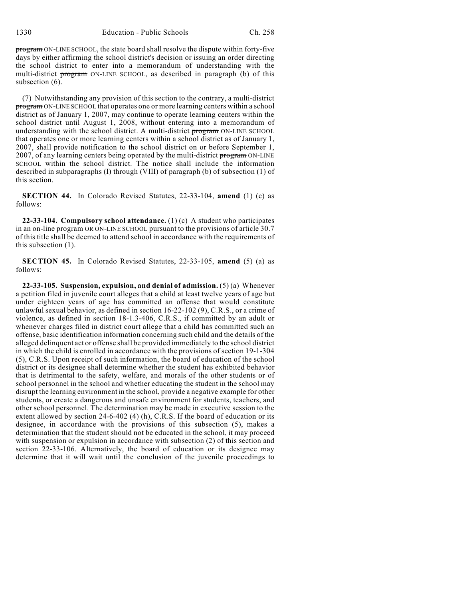program ON-LINE SCHOOL, the state board shall resolve the dispute within forty-five days by either affirming the school district's decision or issuing an order directing the school district to enter into a memorandum of understanding with the multi-district program ON-LINE SCHOOL, as described in paragraph (b) of this subsection  $(6)$ .

(7) Notwithstanding any provision of this section to the contrary, a multi-district program ON-LINE SCHOOL that operates one or more learning centers within a school district as of January 1, 2007, may continue to operate learning centers within the school district until August 1, 2008, without entering into a memorandum of understanding with the school district. A multi-district program ON-LINE SCHOOL that operates one or more learning centers within a school district as of January 1, 2007, shall provide notification to the school district on or before September 1, 2007, of any learning centers being operated by the multi-district program ON-LINE SCHOOL within the school district. The notice shall include the information described in subparagraphs (I) through (VIII) of paragraph (b) of subsection (1) of this section.

**SECTION 44.** In Colorado Revised Statutes, 22-33-104, **amend** (1) (c) as follows:

**22-33-104. Compulsory school attendance.** (1) (c) A student who participates in an on-line program OR ON-LINE SCHOOL pursuant to the provisions of article 30.7 of this title shall be deemed to attend school in accordance with the requirements of this subsection (1).

**SECTION 45.** In Colorado Revised Statutes, 22-33-105, **amend** (5) (a) as follows:

**22-33-105. Suspension, expulsion, and denial of admission.** (5) (a) Whenever a petition filed in juvenile court alleges that a child at least twelve years of age but under eighteen years of age has committed an offense that would constitute unlawful sexual behavior, as defined in section 16-22-102 (9), C.R.S., or a crime of violence, as defined in section 18-1.3-406, C.R.S., if committed by an adult or whenever charges filed in district court allege that a child has committed such an offense, basic identification information concerning such child and the details of the alleged delinquent act or offense shall be provided immediately to the school district in which the child is enrolled in accordance with the provisions of section 19-1-304 (5), C.R.S. Upon receipt of such information, the board of education of the school district or its designee shall determine whether the student has exhibited behavior that is detrimental to the safety, welfare, and morals of the other students or of school personnel in the school and whether educating the student in the school may disrupt the learning environment in the school, provide a negative example for other students, or create a dangerous and unsafe environment for students, teachers, and other school personnel. The determination may be made in executive session to the extent allowed by section  $24-6-402$  (4) (h), C.R.S. If the board of education or its designee, in accordance with the provisions of this subsection (5), makes a determination that the student should not be educated in the school, it may proceed with suspension or expulsion in accordance with subsection (2) of this section and section 22-33-106. Alternatively, the board of education or its designee may determine that it will wait until the conclusion of the juvenile proceedings to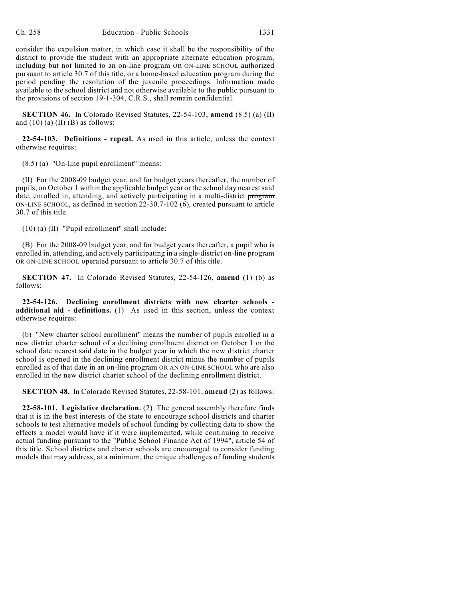consider the expulsion matter, in which case it shall be the responsibility of the district to provide the student with an appropriate alternate education program, including but not limited to an on-line program OR ON-LINE SCHOOL authorized pursuant to article 30.7 of this title, or a home-based education program during the period pending the resolution of the juvenile proceedings. Information made available to the school district and not otherwise available to the public pursuant to the provisions of section 19-1-304, C.R.S., shall remain confidential.

**SECTION 46.** In Colorado Revised Statutes, 22-54-103, **amend** (8.5) (a) (II) and  $(10)$  (a)  $(II)$  (B) as follows:

**22-54-103. Definitions - repeal.** As used in this article, unless the context otherwise requires:

(8.5) (a) "On-line pupil enrollment" means:

(II) For the 2008-09 budget year, and for budget years thereafter, the number of pupils, on October 1 within the applicable budget year or the school day nearest said date, enrolled in, attending, and actively participating in a multi-district program ON-LINE SCHOOL, as defined in section 22-30.7-102 (6), created pursuant to article 30.7 of this title.

(10) (a) (II) "Pupil enrollment" shall include:

(B) For the 2008-09 budget year, and for budget years thereafter, a pupil who is enrolled in, attending, and actively participating in a single-district on-line program OR ON-LINE SCHOOL operated pursuant to article 30.7 of this title.

**SECTION 47.** In Colorado Revised Statutes, 22-54-126, **amend** (1) (b) as follows:

**22-54-126. Declining enrollment districts with new charter schools additional aid - definitions.** (1) As used in this section, unless the context otherwise requires:

(b) "New charter school enrollment" means the number of pupils enrolled in a new district charter school of a declining enrollment district on October 1 or the school date nearest said date in the budget year in which the new district charter school is opened in the declining enrollment district minus the number of pupils enrolled as of that date in an on-line program OR AN ON-LINE SCHOOL who are also enrolled in the new district charter school of the declining enrollment district.

**SECTION 48.** In Colorado Revised Statutes, 22-58-101, **amend** (2) as follows:

**22-58-101. Legislative declaration.** (2) The general assembly therefore finds that it is in the best interests of the state to encourage school districts and charter schools to test alternative models of school funding by collecting data to show the effects a model would have if it were implemented, while continuing to receive actual funding pursuant to the "Public School Finance Act of 1994", article 54 of this title. School districts and charter schools are encouraged to consider funding models that may address, at a minimum, the unique challenges of funding students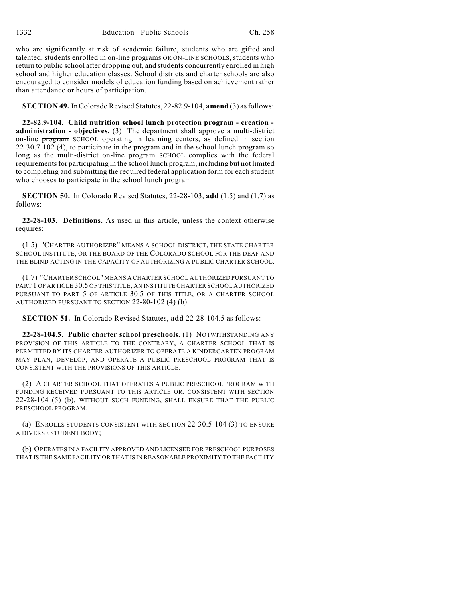who are significantly at risk of academic failure, students who are gifted and talented, students enrolled in on-line programs OR ON-LINE SCHOOLS, students who return to public school after dropping out, and students concurrently enrolled in high school and higher education classes. School districts and charter schools are also encouraged to consider models of education funding based on achievement rather than attendance or hours of participation.

**SECTION 49.** InColorado Revised Statutes, 22-82.9-104, **amend** (3) asfollows:

**22-82.9-104. Child nutrition school lunch protection program - creation administration - objectives.** (3) The department shall approve a multi-district on-line program SCHOOL operating in learning centers, as defined in section 22-30.7-102 (4), to participate in the program and in the school lunch program so long as the multi-district on-line **program** SCHOOL complies with the federal requirementsfor participating in the school lunch program, including but not limited to completing and submitting the required federal application form for each student who chooses to participate in the school lunch program.

**SECTION 50.** In Colorado Revised Statutes, 22-28-103, **add** (1.5) and (1.7) as follows:

**22-28-103. Definitions.** As used in this article, unless the context otherwise requires:

(1.5) "CHARTER AUTHORIZER" MEANS A SCHOOL DISTRICT, THE STATE CHARTER SCHOOL INSTITUTE, OR THE BOARD OF THE COLORADO SCHOOL FOR THE DEAF AND THE BLIND ACTING IN THE CAPACITY OF AUTHORIZING A PUBLIC CHARTER SCHOOL.

(1.7) "CHARTER SCHOOL" MEANS A CHARTER SCHOOL AUTHORIZED PURSUANT TO PART 1 OF ARTICLE 30.5 OF THIS TITLE, AN INSTITUTE CHARTER SCHOOL AUTHORIZED PURSUANT TO PART 5 OF ARTICLE 30.5 OF THIS TITLE, OR A CHARTER SCHOOL AUTHORIZED PURSUANT TO SECTION 22-80-102 (4) (b).

**SECTION 51.** In Colorado Revised Statutes, **add** 22-28-104.5 as follows:

**22-28-104.5. Public charter school preschools.** (1) NOTWITHSTANDING ANY PROVISION OF THIS ARTICLE TO THE CONTRARY, A CHARTER SCHOOL THAT IS PERMITTED BY ITS CHARTER AUTHORIZER TO OPERATE A KINDERGARTEN PROGRAM MAY PLAN, DEVELOP, AND OPERATE A PUBLIC PRESCHOOL PROGRAM THAT IS CONSISTENT WITH THE PROVISIONS OF THIS ARTICLE.

(2) A CHARTER SCHOOL THAT OPERATES A PUBLIC PRESCHOOL PROGRAM WITH FUNDING RECEIVED PURSUANT TO THIS ARTICLE OR, CONSISTENT WITH SECTION 22-28-104 (5) (b), WITHOUT SUCH FUNDING, SHALL ENSURE THAT THE PUBLIC PRESCHOOL PROGRAM:

(a) ENROLLS STUDENTS CONSISTENT WITH SECTION 22-30.5-104 (3) TO ENSURE A DIVERSE STUDENT BODY;

(b) OPERATES IN A FACILITY APPROVED AND LICENSED FOR PRESCHOOL PURPOSES THAT IS THE SAME FACILITY OR THAT IS IN REASONABLE PROXIMITY TO THE FACILITY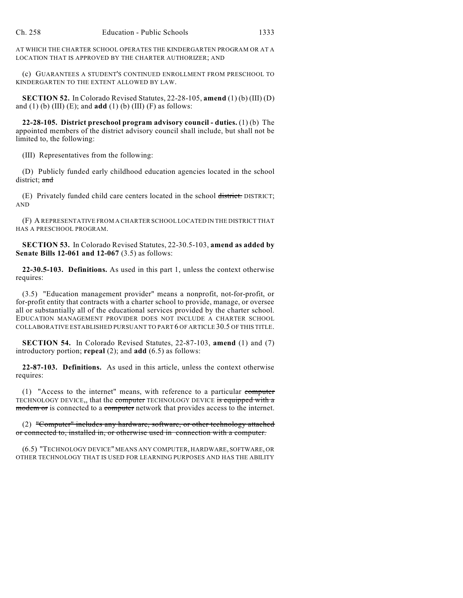AT WHICH THE CHARTER SCHOOL OPERATES THE KINDERGARTEN PROGRAM OR AT A LOCATION THAT IS APPROVED BY THE CHARTER AUTHORIZER; AND

(c) GUARANTEES A STUDENT'S CONTINUED ENROLLMENT FROM PRESCHOOL TO KINDERGARTEN TO THE EXTENT ALLOWED BY LAW.

**SECTION 52.** In Colorado Revised Statutes, 22-28-105, **amend** (1) (b) (III) (D) and (1) (b) (III) (E); and **add** (1) (b) (III) (F) as follows:

**22-28-105. District preschool program advisory council - duties.** (1) (b) The appointed members of the district advisory council shall include, but shall not be limited to, the following:

(III) Representatives from the following:

(D) Publicly funded early childhood education agencies located in the school district; and

(E) Privately funded child care centers located in the school district. DISTRICT; AND

(F) A REPRESENTATIVE FROM A CHARTER SCHOOL LOCATED IN THE DISTRICT THAT HAS A PRESCHOOL PROGRAM.

**SECTION 53.** In Colorado Revised Statutes, 22-30.5-103, **amend as added by Senate Bills 12-061 and 12-067** (3.5) as follows:

**22-30.5-103. Definitions.** As used in this part 1, unless the context otherwise requires:

(3.5) "Education management provider" means a nonprofit, not-for-profit, or for-profit entity that contracts with a charter school to provide, manage, or oversee all or substantially all of the educational services provided by the charter school. EDUCATION MANAGEMENT PROVIDER DOES NOT INCLUDE A CHARTER SCHOOL COLLABORATIVE ESTABLISHED PURSUANT TO PART 6 OF ARTICLE 30.5 OF THIS TITLE.

**SECTION 54.** In Colorado Revised Statutes, 22-87-103, **amend** (1) and (7) introductory portion; **repeal** (2); and **add** (6.5) as follows:

**22-87-103. Definitions.** As used in this article, unless the context otherwise requires:

(1) "Access to the internet" means, with reference to a particular computer TECHNOLOGY DEVICE,, that the computer TECHNOLOGY DEVICE is equipped with a modem or is connected to a computer network that provides access to the internet.

(2) "Computer" includes any hardware, software, or other technology attached or connected to, installed in, or otherwise used in connection with a computer.

(6.5) "TECHNOLOGY DEVICE" MEANS ANY COMPUTER, HARDWARE, SOFTWARE, OR OTHER TECHNOLOGY THAT IS USED FOR LEARNING PURPOSES AND HAS THE ABILITY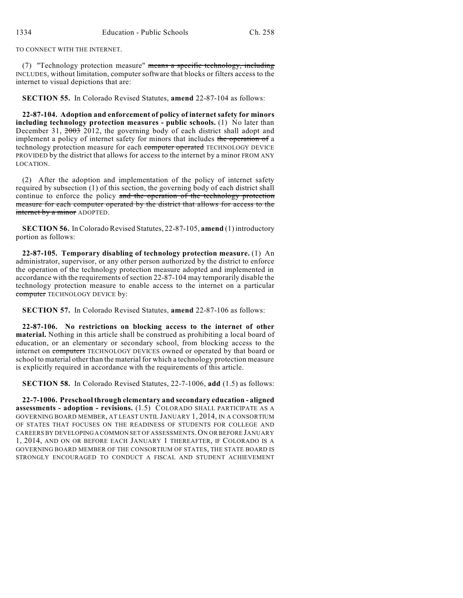TO CONNECT WITH THE INTERNET.

(7) "Technology protection measure" means a specific technology, including INCLUDES, without limitation, computer software that blocks or filters access to the internet to visual depictions that are:

**SECTION 55.** In Colorado Revised Statutes, **amend** 22-87-104 as follows:

**22-87-104. Adoption and enforcement of policy of internet safety for minors including technology protection measures - public schools.** (1) No later than December 31,  $2003$  2012, the governing body of each district shall adopt and implement a policy of internet safety for minors that includes the operation of a technology protection measure for each computer operated TECHNOLOGY DEVICE PROVIDED by the district that allows for access to the internet by a minor FROM ANY LOCATION.

(2) After the adoption and implementation of the policy of internet safety required by subsection (1) of this section, the governing body of each district shall continue to enforce the policy and the operation of the technology protection measure for each computer operated by the district that allows for access to the internet by a minor ADOPTED.

**SECTION 56.** In Colorado Revised Statutes, 22-87-105, **amend** (1) introductory portion as follows:

**22-87-105. Temporary disabling of technology protection measure.** (1) An administrator, supervisor, or any other person authorized by the district to enforce the operation of the technology protection measure adopted and implemented in accordance with the requirements of section 22-87-104 may temporarily disable the technology protection measure to enable access to the internet on a particular computer TECHNOLOGY DEVICE by:

**SECTION 57.** In Colorado Revised Statutes, **amend** 22-87-106 as follows:

**22-87-106. No restrictions on blocking access to the internet of other material.** Nothing in this article shall be construed as prohibiting a local board of education, or an elementary or secondary school, from blocking access to the internet on computers TECHNOLOGY DEVICES owned or operated by that board or school to material other than the material for which a technology protection measure is explicitly required in accordance with the requirements of this article.

**SECTION 58.** In Colorado Revised Statutes, 22-7-1006, **add** (1.5) as follows:

**22-7-1006. Preschool through elementary and secondary education - aligned assessments - adoption - revisions.** (1.5) COLORADO SHALL PARTICIPATE AS A GOVERNING BOARD MEMBER, AT LEAST UNTIL JANUARY 1, 2014, IN A CONSORTIUM OF STATES THAT FOCUSES ON THE READINESS OF STUDENTS FOR COLLEGE AND CAREERSBY DEVELOPINGA COMMON SET OF ASSESSMENTS.ON OR BEFORE JANUARY 1, 2014, AND ON OR BEFORE EACH JANUARY 1 THEREAFTER, IF COLORADO IS A GOVERNING BOARD MEMBER OF THE CONSORTIUM OF STATES, THE STATE BOARD IS STRONGLY ENCOURAGED TO CONDUCT A FISCAL AND STUDENT ACHIEVEMENT